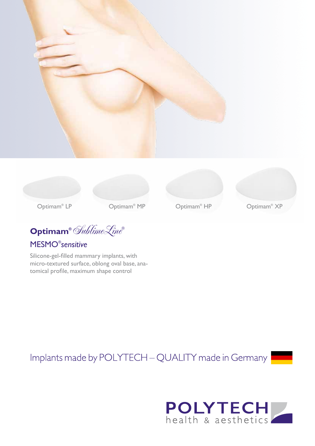



**Optimam®** SublimeLine**®**

## MESMO® *sensitive*

Silicone-gel-filled mammary implants, with micro-textured surface, oblong oval base, anatomical profile, maximum shape control

Optimam<sup>®</sup> HP

Optimam<sup>®</sup> XP

Implants made by POLYTECH - QUALITY made in Germany